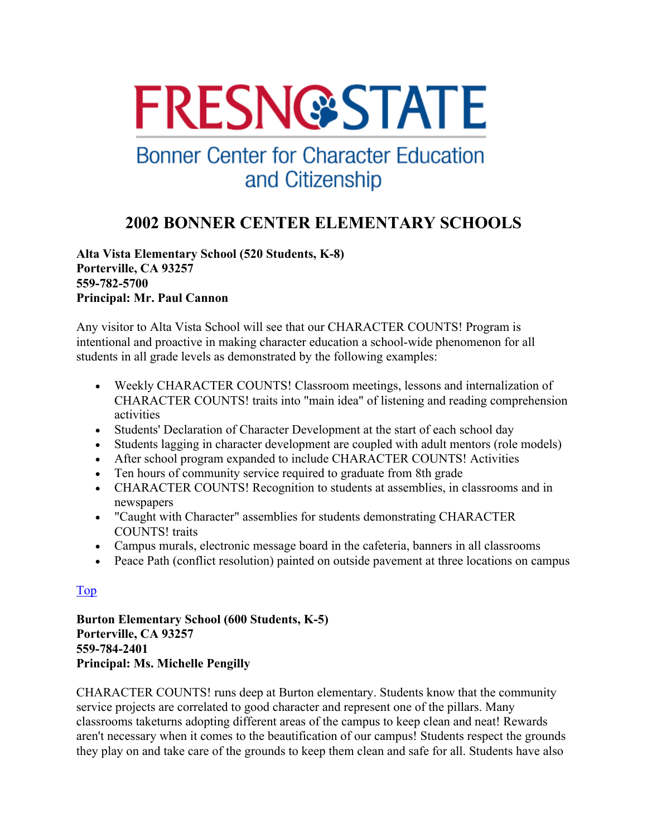# **FRESN@STATE**

## **Bonner Center for Character Education** and Citizenship

### **2002 BONNER CENTER ELEMENTARY SCHOOLS**

**Alta Vista Elementary School (520 Students, K-8) Porterville, CA 93257 559-782-5700 Principal: Mr. Paul Cannon** 

Any visitor to Alta Vista School will see that our CHARACTER COUNTS! Program is intentional and proactive in making character education a school-wide phenomenon for all students in all grade levels as demonstrated by the following examples:

- Weekly CHARACTER COUNTS! Classroom meetings, lessons and internalization of CHARACTER COUNTS! traits into "main idea" of listening and reading comprehension activities
- Students' Declaration of Character Development at the start of each school day
- Students lagging in character development are coupled with adult mentors (role models)
- After school program expanded to include CHARACTER COUNTS! Activities
- Ten hours of community service required to graduate from 8th grade
- CHARACTER COUNTS! Recognition to students at assemblies, in classrooms and in newspapers
- "Caught with Character" assemblies for students demonstrating CHARACTER COUNTS! traits
- Campus murals, electronic message board in the cafeteria, banners in all classrooms
- Peace Path (conflict resolution) painted on outside pavement at three locations on campus

#### Top

**Burton Elementary School (600 Students, K-5) Porterville, CA 93257 559-784-2401 Principal: Ms. Michelle Pengilly** 

CHARACTER COUNTS! runs deep at Burton elementary. Students know that the community service projects are correlated to good character and represent one of the pillars. Many classrooms taketurns adopting different areas of the campus to keep clean and neat! Rewards aren't necessary when it comes to the beautification of our campus! Students respect the grounds they play on and take care of the grounds to keep them clean and safe for all. Students have also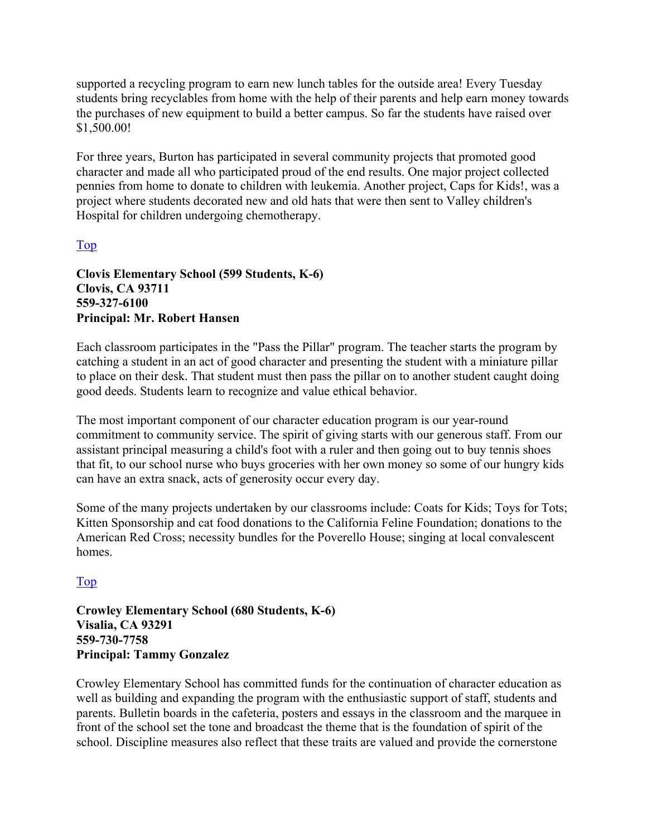supported a recycling program to earn new lunch tables for the outside area! Every Tuesday students bring recyclables from home with the help of their parents and help earn money towards the purchases of new equipment to build a better campus. So far the students have raised over \$1,500.00!

For three years, Burton has participated in several community projects that promoted good character and made all who participated proud of the end results. One major project collected pennies from home to donate to children with leukemia. Another project, Caps for Kids!, was a project where students decorated new and old hats that were then sent to Valley children's Hospital for children undergoing chemotherapy.

#### Top

#### **Clovis Elementary School (599 Students, K-6) Clovis, CA 93711 559-327-6100 Principal: Mr. Robert Hansen**

Each classroom participates in the "Pass the Pillar" program. The teacher starts the program by catching a student in an act of good character and presenting the student with a miniature pillar to place on their desk. That student must then pass the pillar on to another student caught doing good deeds. Students learn to recognize and value ethical behavior.

The most important component of our character education program is our year-round commitment to community service. The spirit of giving starts with our generous staff. From our assistant principal measuring a child's foot with a ruler and then going out to buy tennis shoes that fit, to our school nurse who buys groceries with her own money so some of our hungry kids can have an extra snack, acts of generosity occur every day.

Some of the many projects undertaken by our classrooms include: Coats for Kids; Toys for Tots; Kitten Sponsorship and cat food donations to the California Feline Foundation; donations to the American Red Cross; necessity bundles for the Poverello House; singing at local convalescent homes.

#### Top

**Crowley Elementary School (680 Students, K-6) Visalia, CA 93291 559-730-7758 Principal: Tammy Gonzalez** 

Crowley Elementary School has committed funds for the continuation of character education as well as building and expanding the program with the enthusiastic support of staff, students and parents. Bulletin boards in the cafeteria, posters and essays in the classroom and the marquee in front of the school set the tone and broadcast the theme that is the foundation of spirit of the school. Discipline measures also reflect that these traits are valued and provide the cornerstone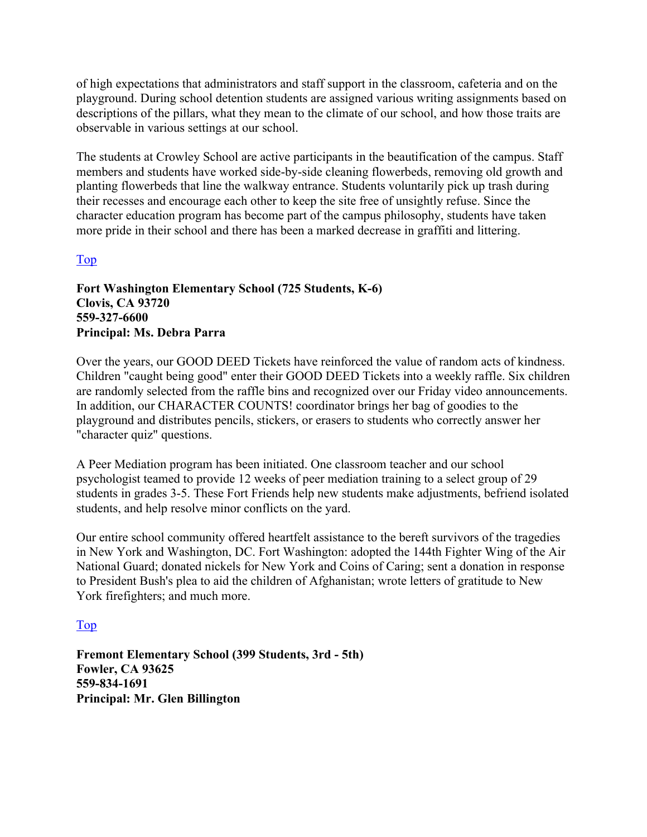of high expectations that administrators and staff support in the classroom, cafeteria and on the playground. During school detention students are assigned various writing assignments based on descriptions of the pillars, what they mean to the climate of our school, and how those traits are observable in various settings at our school.

The students at Crowley School are active participants in the beautification of the campus. Staff members and students have worked side-by-side cleaning flowerbeds, removing old growth and planting flowerbeds that line the walkway entrance. Students voluntarily pick up trash during their recesses and encourage each other to keep the site free of unsightly refuse. Since the character education program has become part of the campus philosophy, students have taken more pride in their school and there has been a marked decrease in graffiti and littering.

#### Top

#### **Fort Washington Elementary School (725 Students, K-6) Clovis, CA 93720 559-327-6600 Principal: Ms. Debra Parra**

Over the years, our GOOD DEED Tickets have reinforced the value of random acts of kindness. Children "caught being good" enter their GOOD DEED Tickets into a weekly raffle. Six children are randomly selected from the raffle bins and recognized over our Friday video announcements. In addition, our CHARACTER COUNTS! coordinator brings her bag of goodies to the playground and distributes pencils, stickers, or erasers to students who correctly answer her "character quiz" questions.

A Peer Mediation program has been initiated. One classroom teacher and our school psychologist teamed to provide 12 weeks of peer mediation training to a select group of 29 students in grades 3-5. These Fort Friends help new students make adjustments, befriend isolated students, and help resolve minor conflicts on the yard.

Our entire school community offered heartfelt assistance to the bereft survivors of the tragedies in New York and Washington, DC. Fort Washington: adopted the 144th Fighter Wing of the Air National Guard; donated nickels for New York and Coins of Caring; sent a donation in response to President Bush's plea to aid the children of Afghanistan; wrote letters of gratitude to New York firefighters; and much more.

#### Top

**Fremont Elementary School (399 Students, 3rd - 5th) Fowler, CA 93625 559-834-1691 Principal: Mr. Glen Billington**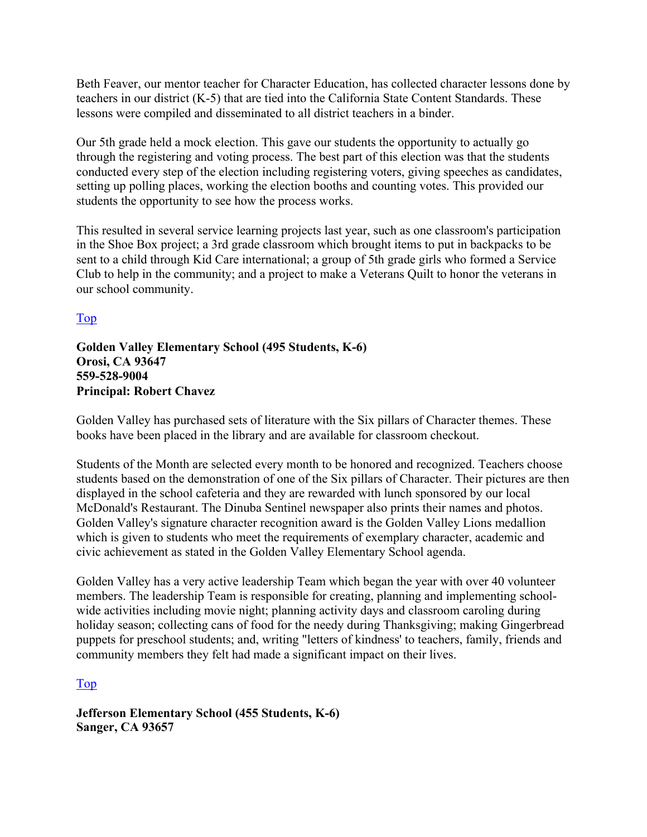Beth Feaver, our mentor teacher for Character Education, has collected character lessons done by teachers in our district (K-5) that are tied into the California State Content Standards. These lessons were compiled and disseminated to all district teachers in a binder.

Our 5th grade held a mock election. This gave our students the opportunity to actually go through the registering and voting process. The best part of this election was that the students conducted every step of the election including registering voters, giving speeches as candidates, setting up polling places, working the election booths and counting votes. This provided our students the opportunity to see how the process works.

This resulted in several service learning projects last year, such as one classroom's participation in the Shoe Box project; a 3rd grade classroom which brought items to put in backpacks to be sent to a child through Kid Care international; a group of 5th grade girls who formed a Service Club to help in the community; and a project to make a Veterans Quilt to honor the veterans in our school community.

Top

#### **Golden Valley Elementary School (495 Students, K-6) Orosi, CA 93647 559-528-9004 Principal: Robert Chavez**

Golden Valley has purchased sets of literature with the Six pillars of Character themes. These books have been placed in the library and are available for classroom checkout.

Students of the Month are selected every month to be honored and recognized. Teachers choose students based on the demonstration of one of the Six pillars of Character. Their pictures are then displayed in the school cafeteria and they are rewarded with lunch sponsored by our local McDonald's Restaurant. The Dinuba Sentinel newspaper also prints their names and photos. Golden Valley's signature character recognition award is the Golden Valley Lions medallion which is given to students who meet the requirements of exemplary character, academic and civic achievement as stated in the Golden Valley Elementary School agenda.

Golden Valley has a very active leadership Team which began the year with over 40 volunteer members. The leadership Team is responsible for creating, planning and implementing schoolwide activities including movie night; planning activity days and classroom caroling during holiday season; collecting cans of food for the needy during Thanksgiving; making Gingerbread puppets for preschool students; and, writing "letters of kindness' to teachers, family, friends and community members they felt had made a significant impact on their lives.

Top

**Jefferson Elementary School (455 Students, K-6) Sanger, CA 93657**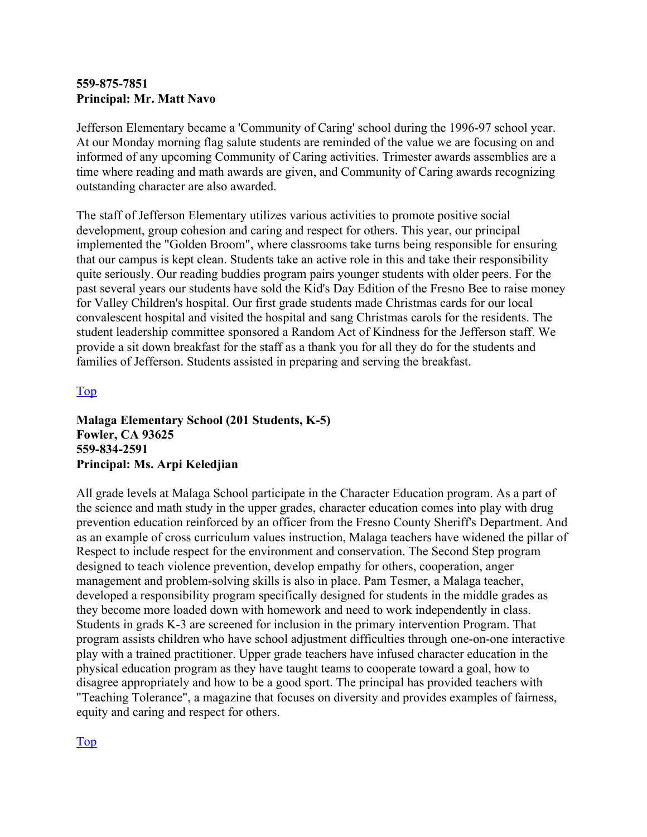#### **559-875-7851 Principal: Mr. Matt Navo**

Jefferson Elementary became a 'Community of Caring' school during the 1996-97 school year. At our Monday morning flag salute students are reminded of the value we are focusing on and informed of any upcoming Community of Caring activities. Trimester awards assemblies are a time where reading and math awards are given, and Community of Caring awards recognizing outstanding character are also awarded.

The staff of Jefferson Elementary utilizes various activities to promote positive social development, group cohesion and caring and respect for others. This year, our principal implemented the "Golden Broom", where classrooms take turns being responsible for ensuring that our campus is kept clean. Students take an active role in this and take their responsibility quite seriously. Our reading buddies program pairs younger students with older peers. For the past several years our students have sold the Kid's Day Edition of the Fresno Bee to raise money for Valley Children's hospital. Our first grade students made Christmas cards for our local convalescent hospital and visited the hospital and sang Christmas carols for the residents. The student leadership committee sponsored a Random Act of Kindness for the Jefferson staff. We provide a sit down breakfast for the staff as a thank you for all they do for the students and families of Jefferson. Students assisted in preparing and serving the breakfast.

#### Top

**Malaga Elementary School (201 Students, K-5) Fowler, CA 93625 559-834-2591 Principal: Ms. Arpi Keledjian** 

All grade levels at Malaga School participate in the Character Education program. As a part of the science and math study in the upper grades, character education comes into play with drug prevention education reinforced by an officer from the Fresno County Sheriff's Department. And as an example of cross curriculum values instruction, Malaga teachers have widened the pillar of Respect to include respect for the environment and conservation. The Second Step program designed to teach violence prevention, develop empathy for others, cooperation, anger management and problem-solving skills is also in place. Pam Tesmer, a Malaga teacher, developed a responsibility program specifically designed for students in the middle grades as they become more loaded down with homework and need to work independently in class. Students in grads K-3 are screened for inclusion in the primary intervention Program. That program assists children who have school adjustment difficulties through one-on-one interactive play with a trained practitioner. Upper grade teachers have infused character education in the physical education program as they have taught teams to cooperate toward a goal, how to disagree appropriately and how to be a good sport. The principal has provided teachers with "Teaching Tolerance", a magazine that focuses on diversity and provides examples of fairness, equity and caring and respect for others.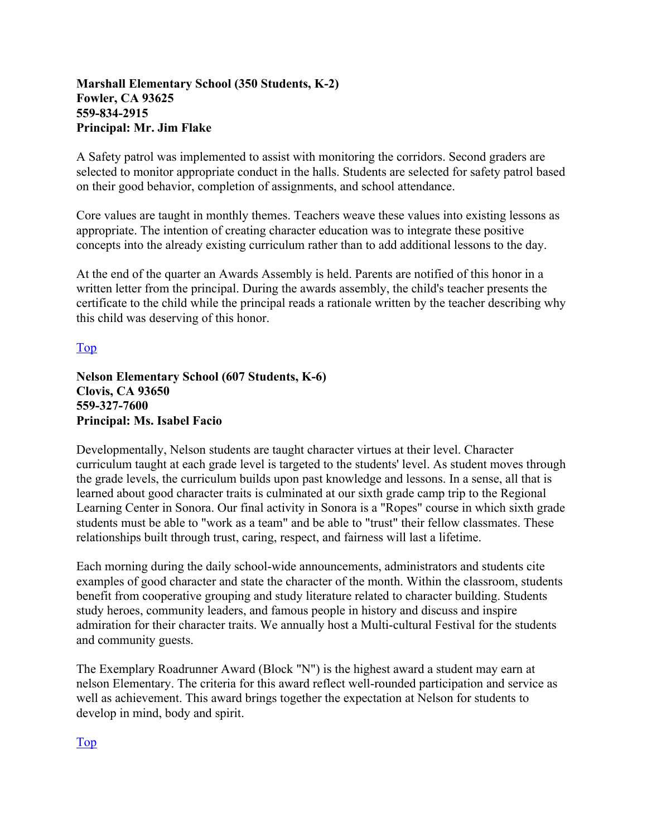#### **Marshall Elementary School (350 Students, K-2) Fowler, CA 93625 559-834-2915 Principal: Mr. Jim Flake**

A Safety patrol was implemented to assist with monitoring the corridors. Second graders are selected to monitor appropriate conduct in the halls. Students are selected for safety patrol based on their good behavior, completion of assignments, and school attendance.

Core values are taught in monthly themes. Teachers weave these values into existing lessons as appropriate. The intention of creating character education was to integrate these positive concepts into the already existing curriculum rather than to add additional lessons to the day.

At the end of the quarter an Awards Assembly is held. Parents are notified of this honor in a written letter from the principal. During the awards assembly, the child's teacher presents the certificate to the child while the principal reads a rationale written by the teacher describing why this child was deserving of this honor.

Top

**Nelson Elementary School (607 Students, K-6) Clovis, CA 93650 559-327-7600 Principal: Ms. Isabel Facio** 

Developmentally, Nelson students are taught character virtues at their level. Character curriculum taught at each grade level is targeted to the students' level. As student moves through the grade levels, the curriculum builds upon past knowledge and lessons. In a sense, all that is learned about good character traits is culminated at our sixth grade camp trip to the Regional Learning Center in Sonora. Our final activity in Sonora is a "Ropes" course in which sixth grade students must be able to "work as a team" and be able to "trust" their fellow classmates. These relationships built through trust, caring, respect, and fairness will last a lifetime.

Each morning during the daily school-wide announcements, administrators and students cite examples of good character and state the character of the month. Within the classroom, students benefit from cooperative grouping and study literature related to character building. Students study heroes, community leaders, and famous people in history and discuss and inspire admiration for their character traits. We annually host a Multi-cultural Festival for the students and community guests.

The Exemplary Roadrunner Award (Block "N") is the highest award a student may earn at nelson Elementary. The criteria for this award reflect well-rounded participation and service as well as achievement. This award brings together the expectation at Nelson for students to develop in mind, body and spirit.

Top